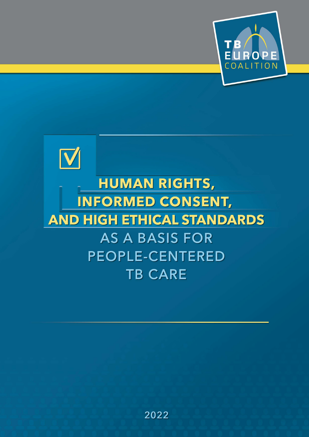



# **HUMAN RIGHTS, INFORMED CONSENT, AND HIGH ETHICAL STANDARDS** AS A BASIS FOR **PEOPLE-CENTERED TB CARE**

2022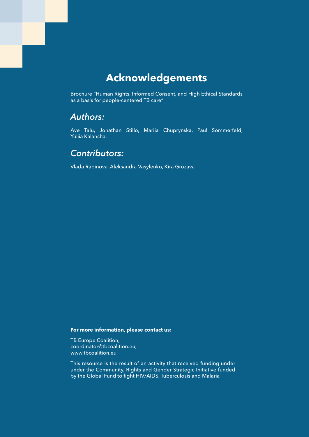### **Acknowledgements**

Brochure "Human Rights, Informed Consent, and High Ethical Standards as a basis for people-centered TB care"

### *Authors:*

Ave Talu, Jonathan Stillo, Mariia Chuprynska, Paul Sommerfeld, Yuliia Kalancha.

### *Contributors:*

Vlada Rabinova, Aleksandra Vasylenko, Kira Grozava

#### **For more information, please contact us:**

TB Europe Coalition, coordinator@tbcoalition.eu, www.tbcoalition.eu

This resource is the result of an activity that received funding under under the Community, Rights and Gender Strategic Initiative funded by the Global Fund to fight HIV/AIDS, Tuberculosis and Malaria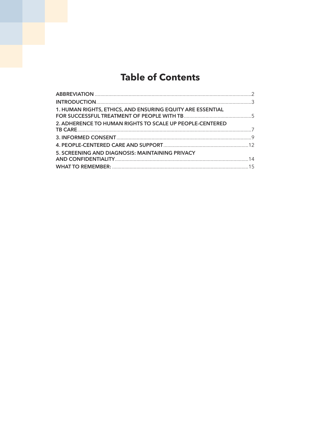### **Table of Contents**

| 1. HUMAN RIGHTS, ETHICS, AND ENSURING EQUITY ARE ESSENTIAL |  |
|------------------------------------------------------------|--|
| 2. ADHERENCE TO HUMAN RIGHTS TO SCALE UP PEOPLE-CENTERED   |  |
|                                                            |  |
|                                                            |  |
| 5. SCREENING AND DIAGNOSIS: MAINTAINING PRIVACY            |  |
|                                                            |  |
|                                                            |  |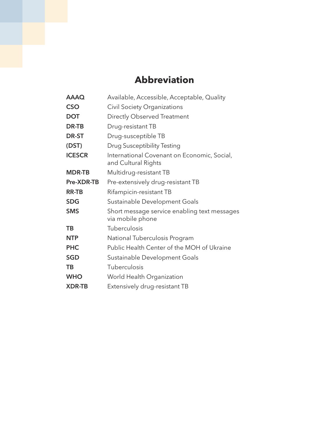### **Abbreviation**

| <b>AAAQ</b>   | Available, Accessible, Acceptable, Quality                         |
|---------------|--------------------------------------------------------------------|
| <b>CSO</b>    | <b>Civil Society Organizations</b>                                 |
| <b>DOT</b>    | Directly Observed Treatment                                        |
| DR-TB         | Drug-resistant TB                                                  |
| <b>DR-ST</b>  | Drug-susceptible TB                                                |
| (DST)         | Drug Susceptibility Testing                                        |
| <b>ICESCR</b> | International Covenant on Economic, Social,<br>and Cultural Rights |
| <b>MDR-TB</b> | Multidrug-resistant TB                                             |
| Pre-XDR-TB    | Pre-extensively drug-resistant TB                                  |
| <b>RR-TB</b>  | Rifampicin-resistant TB                                            |
| <b>SDG</b>    | Sustainable Development Goals                                      |
| <b>SMS</b>    | Short message service enabling text messages<br>via mobile phone   |
| TB            | Tuberculosis                                                       |
| <b>NTP</b>    | National Tuberculosis Program                                      |
| <b>PHC</b>    | Public Health Center of the MOH of Ukraine                         |
| <b>SGD</b>    | Sustainable Development Goals                                      |
| TB            | Tuberculosis                                                       |
| <b>WHO</b>    | World Health Organization                                          |
| <b>XDR-TB</b> | Extensively drug-resistant TB                                      |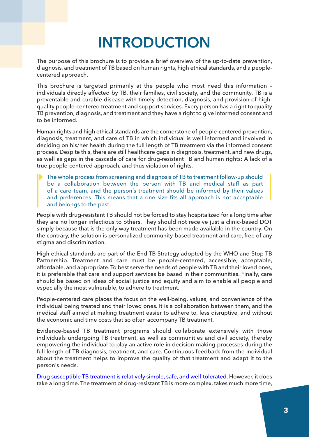# **INTRODUCTION**

The purpose of this brochure is to provide a brief overview of the up-to-date prevention, diagnosis, and treatment of TB based on human rights, high ethical standards, and a peoplecentered approach.

This brochure is targeted primarily at the people who most need this information – individuals directly affected by TB, their families, civil society, and the community. TB is a preventable and curable disease with timely detection, diagnosis, and provision of highquality people-centered treatment and support services. Every person has a right to quality TB prevention, diagnosis, and treatment and they have a right to give informed consent and to be informed.

Human rights and high ethical standards are the cornerstone of people-centered prevention, diagnosis, treatment, and care of TB in which individual is well informed and involved in deciding on his/her health during the full length of TB treatment via the informed consent process. Despite this, there are still healthcare gaps in diagnosis, treatment, and new drugs, as well as gaps in the cascade of care for drug-resistant TB and human rights: A lack of a true people-centered approach, and thus violation of rights.

The whole process from screening and diagnosis of TB to treatment follow-up should be a collaboration between the person with TB and medical staff as part of a care team, and the person's treatment should be informed by their values and preferences. This means that a one size fits all approach is not acceptable and belongs to the past.

People with drug-resistant TB should not be forced to stay hospitalized for a long time after they are no longer infectious to others. They should not receive just a clinic-based DOT simply because that is the only way treatment has been made available in the country. On the contrary, the solution is personalized community-based treatment and care, free of any stigma and discrimination.

High ethical standards are part of the End TB Strategy adopted by the WHO and Stop TB Partnership. Treatment and care must be people-centered, accessible, acceptable, affordable, and appropriate. To best serve the needs of people with TB and their loved ones, it is preferable that care and support services be based in their communities. Finally, care should be based on ideas of social justice and equity and aim to enable all people and especially the most vulnerable, to adhere to treatment.

People-centered care places the focus on the well-being, values, and convenience of the individual being treated and their loved ones. It is a collaboration between them, and the medical staff aimed at making treatment easier to adhere to, less disruptive, and without the economic and time costs that so often accompany TB treatment.

Evidence-based TB treatment programs should collaborate extensively with those individuals undergoing TB treatment, as well as communities and civil society, thereby empowering the individual to play an active role in decision-making processes during the full length of TB diagnosis, treatment, and care. Continuous feedback from the individual about the treatment helps to improve the quality of that treatment and adapt it to the person's needs.

Drug susceptible TB treatment is relatively simple, safe, and [well-tolerated.](https://pubmed.ncbi.nlm.nih.gov/27587550/) However, it does take a long time. The treatment of drug-resistant TB is more complex, takes much more time,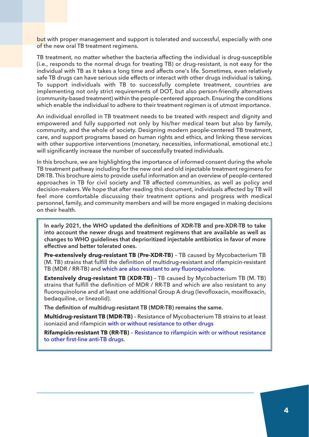but with proper management and support is tolerated and successful, especially with one of the new oral TB treatment regimens.

TB treatment, no matter whether the bacteria affecting the individual is drug-susceptible (i.e., responds to the normal drugs for treating TB) or drug-resistant, is not easy for the individual with TB as it takes a long time and affects one's life. Sometimes, even relatively safe TB drugs can have serious side effects or interact with other drugs individual is taking. To support individuals with TB to successfully complete treatment, countries are implementing not only strict requirements of DOT, but also person-friendly alternatives (community-based treatment) within the people-centered approach. Ensuring the conditions which enable the individual to adhere to their treatment regimen is of utmost importance.

An individual enrolled in TB treatment needs to be treated with respect and dignity and empowered and fully supported not only by his/her medical team but also by family, community, and the whole of society. Designing modern people-centered TB treatment, care, and support programs based on human rights and ethics, and linking these services with other supportive interventions (monetary, necessities, informational, emotional etc.) will significantly increase the number of successfully treated individuals.

In this brochure, we are highlighting the importance of informed consent during the whole TB treatment pathway including for the new oral and old injectable treatment regimens for DR-TB. This brochure aims to provide useful information and an overview of people-centered approaches in TB for civil society and TB affected communities, as well as policy and decision-makers. We hope that after reading this document, individuals affected by TB will feel more comfortable discussing their treatment options and progress with medical personnel, family, and community members and will be more engaged in making decisions on their health.

In early 2021, the WHO updated the definitions of XDR-TB and pre-XDR-TB to take into account the newer drugs and treatment regimens that are available as well as changes to wHO guidelines that deprioritized injectable antibiotics in favor of more effective and better tolerated ones.

**Pre-extensively drug-resistant TB (Pre-XDR-TB)** – TB caused by Mycobacterium TB (M. TB) strains that fulfill the definition of multidrug-resistant and rifampicin-resistant TB (MDR / RR-TB) and which are also resistant to any [fluoroquinolone.](https://www.who.int/publications/i/item/meeting-report-of-the-who-expert-consultation-on-the-definition-of-extensively-drug-resistant-tuberculosis)

**Extensively drug-resistant TB (XDR-TB)** – TB caused by Mycobacterium TB (M. TB) strains that fulfill the definition of MDR / RR-TB and which are also resistant to any fluoroquinolone and at least one additional Group A drug (levofloxacin, moxifloxacin, bedaquiline, or linezolid).

The definition of multidrug-resistant TB (MDR-TB) remains the same.

**Multidrug-resistant TB (MDR-TB)** – Resistance of Mycobacterium TB strains to at least isoniazid and rifampicin with or without [resistance](https://www.who.int/news/item/27-01-2021-who-announces-updated-definitions-of-extensively-drug-resistant-tuberculosis) to other drugs

**Rifampicin-resistant TB (RR-TB)** – [Resistance](https://pubmed.ncbi.nlm.nih.gov/29319042/) to rifampicin with or without resistance to other [first-line](https://pubmed.ncbi.nlm.nih.gov/29319042/) anti-TB drugs.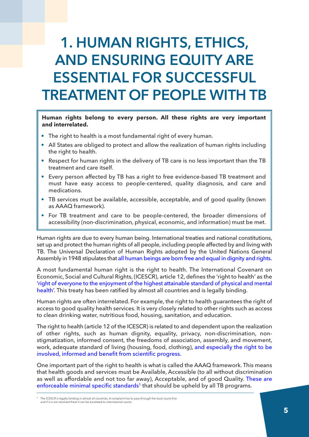## 1. HumAN RIgHTs, ETHIcs, **AND ENSURING EQUITY ARE** EssENTIAl fOR succEssful TREATmENT Of pEOplE wITH TB

#### **Human rights belong to every person. All these rights are very important and interrelated.**

- The right to health is a most fundamental right of every human.
- All States are obliged to protect and allow the realization of human rights including the right to health.
- Respect for human rights in the delivery of TB care is no less important than the TB treatment and care itself.
- Every person affected by TB has a right to free evidence-based TB treatment and must have easy access to people-centered, quality diagnosis, and care and medications.
- TB services must be available, accessible, acceptable, and of good quality (known as AAAQ framework).
- For TB treatment and care to be people-centered, the broader dimensions of accessibility (non-discrimination, physical, economic, and information) must be met.

Human rights are due to every human being. International treaties and national constitutions, set up and protect the human rights of all people, including people affected by and living with TB. The Universal Declaration of Human Rights adopted by the United Nations General Assembly in 1948 stipulates that all [human](https://www.jus.uio.no/lm/un.universal.declaration.of.human.rights.1948/portrait.a4.pdf) beings are born free and equal in dignity and rights.

A most fundamental human right is the right to health. The International Covenant on Economic, Social and Cultural Rights, (ICESCR), article 12, defines the 'right to health' as the 'right of everyone to the [enjoyment](https://www.ohchr.org/en/instruments-mechanisms/instruments/international-covenant-economic-social-and-cultural-rights) of the highest attainable standard of physical and mental [health'.](https://www.ohchr.org/en/instruments-mechanisms/instruments/international-covenant-economic-social-and-cultural-rights) This treaty has been ratified by almost all countries and is legally binding.

Human rights are often interrelated. For example, the right to health guarantees the right of access to good quality health services. It is very closely related to other rights such as access to clean drinking water, nutritious food, housing, sanitation, and education.

The right to health (article 12 of the ICESCR) is related to and dependent upon the realization of other rights, such as human dignity, equality, privacy, non-discrimination, nonstigmatization, informed consent, the freedoms of association, assembly, and movement, work, adequate standard of living (housing, food, clothing), and [especially](https://www.ingentaconnect.com/content/iuatld/ijtld/2020/00000024/a00105s1/art00010;jsessionid=afjh5735oibf1.x-ic-live-01) the right to be involved, informed and benefit from scientific [progress.](https://www.ingentaconnect.com/content/iuatld/ijtld/2020/00000024/a00105s1/art00010;jsessionid=afjh5735oibf1.x-ic-live-01)

One important part of the right to health is what is called the AAAQ framework. This means that health goods and services must be Available, Accessible (to all without discrimination as well as affordable and not too far away), Acceptable, and of good Quality. [These](https://www.hhrjournal.org/2016/12/interpreting-the-international-right-to-health-in-a-human-rights-based-approach-to-health/) are [e](https://www.hhrjournal.org/2016/12/interpreting-the-international-right-to-health-in-a-human-rights-based-approach-to-health/)nforceable minimal specific standards<sup>[1](https://www.hhrjournal.org/2016/12/interpreting-the-international-right-to-health-in-a-human-rights-based-approach-to-health/)</sup> that should be upheld by all TB programs.

<sup>1</sup> The ICESCR is legally binding in almost all countries. A complaint has to pass through the local courts first and if it is not resolved there it can be escalated to international courts.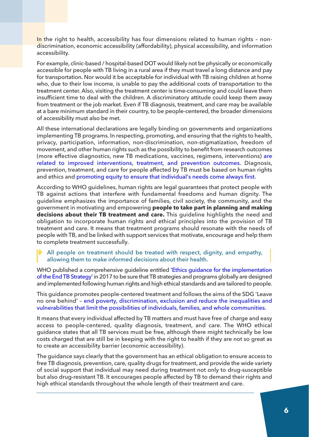In the right to health, accessibility has four dimensions related to human rights - nondiscrimination, economic accessibility (affordability), physical accessibility, and information accessibility.

For example, clinic-based / hospital-based DOT would likely not be physically or economically accessible for people with TB living in a rural area if they must travel a long distance and pay for transportation. Nor would it be acceptable for individual with TB raising children at home who, due to their low income, is unable to pay the additional costs of transportation to the treatment center. Also, visiting the treatment center is time-consuming and could leave them insufficient time to deal with the children. A discriminatory attitude could keep them away from treatment or the job market. Even if TB diagnosis, treatment, and care may be available at a bare minimum standard in their country, to be people-centered, the broader dimensions of accessibility must also be met.

All these international declarations are legally binding on governments and organizations implementing TB programs. In respecting, promoting, and ensuring that the rights to health, privacy, participation, information, non-discrimination, non-stigmatization, freedom of movement, and other human rights such as the possibility to benefit from research outcomes (more effective diagnostics, new TB medications, vaccines, regimens, interventions) [are](https://www.ncbi.nlm.nih.gov/pmc/articles/PMC5070676/) related to improved [interventions,](https://www.ncbi.nlm.nih.gov/pmc/articles/PMC5070676/) treatment, and prevention outcomes. Diagnosis, prevention, treatment, and care for people affected by TB must be based on human rights and ethics and promoting equity to ensure that [individual's](https://www.ingentaconnect.com/content/iuatld/ijtld/2020/00000024/a00105s1/art00001) needs come always first.

According to WHO guidelines, human rights are legal guarantees that protect people with TB against actions that interfere with fundamental freedoms and human dignity. The guideline emphasizes the importance of families, civil society, the community, and the government in motivating and empowering **people to take part in planning and making decisions about their TB treatment and care.** This guideline highlights the need and obligation to incorporate human rights and ethical principles into the provision of TB treatment and care. It means that treatment programs should resonate with the needs of people with TB, and be linked with support services that motivate, encourage and help them to complete treatment successfully.

#### All people on treatment should be treated with respect, dignity, and empathy, allowing them to make informed decisions about their health.

WHO published a comprehensive quideline entitled 'Ethics quidance for the [implementation](https://apps.who.int/iris/bitstream/handle/10665/254820/9789241512114-eng.pdf?sequence=1) of the End TB [Strategy'](https://apps.who.int/iris/bitstream/handle/10665/254820/9789241512114-eng.pdf?sequence=1) in 2017 to be sure that TB strategies and programs globally are designed and implemented following human rights and high ethical standards and are tailored to people.

This guidance promotes people-centered treatment and follows the aims of the SDG 'Leave no one behind' – end poverty, [discrimination,](https://unsceb.org/sites/default/files/imported_files/CEB%20equality%20framework-A4-web-rev3.pdf) exclusion and reduce the inequalities and [vulnerabilities](https://unsceb.org/sites/default/files/imported_files/CEB%20equality%20framework-A4-web-rev3.pdf) that limit the possibilities of individuals, families, and whole communities.

It means that every individual affected by TB matters and must have free of charge and easy access to people-centered, quality diagnosis, treatment, and care. The WHO ethical guidance states that all TB services must be free, although there might technically be low costs charged that are still be in keeping with the right to health if they are not so great as to create an accessibility barrier (economic accessibility).

The guidance says clearly that the government has an ethical obligation to ensure access to free TB diagnosis, prevention, care, quality drugs for treatment, and provide the wide variety of social support that individual may need during treatment not only to drug-susceptible but also drug-resistant TB. It encourages people affected by TB to demand their rights and high ethical standards throughout the whole length of their treatment and care.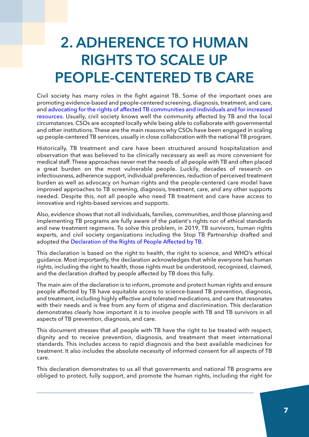## 2. AdHERENcE TO HumAN RIgHTs TO scAlE up pEOplE-cENTEREd TB cARE

Civil society has many roles in the fight against TB. Some of the important ones are promoting evidence-based and people-centered screening, diagnosis, treatment, and care, and advocating for the rights of affected TB [communities](https://apps.who.int/iris/handle/10665/270957) and individuals and for increased [resources.](https://apps.who.int/iris/handle/10665/270957) Usually, civil society knows well the community affected by TB and the local circumstances. CSOs are accepted locally while being able to collaborate with governmental and other institutions. These are the main reasons why CSOs have been engaged in scaling up people-centered TB services, usually in close collaboration with the national TB program.

Historically, TB treatment and care have been structured around hospitalization and observation that was believed to be clinically necessary as well as more convenient for medical staff. These approaches never met the needs of all people with TB and often placed a great burden on the most vulnerable people. Luckily, decades of research on infectiousness, adherence support, individual preferences, reduction of perceived treatment burden as well as advocacy on human rights and the people-centered care model have improved approaches to TB screening, diagnosis, treatment, care, and any other supports needed. Despite this, not all people who need TB treatment and care have access to innovative and rights-based services and supports.

Also, evidence shows that not all individuals, families, communities, and those planning and implementing TB programs are fully aware of the patient's rights nor of ethical standards and new treatment regimens. To solve this problem, in 2019, TB survivors, human rights experts, and civil society organizations including the Stop TB Partnership drafted and adopted the [Declaration](https://stoptb.org/assets/documents/communities/FINAL%20Declaration%20on%20the%20Right%20of%20People%20Affected%20by%20TB%2013.05.2019.pdf) of the Rights of People Affected by TB.

This declaration is based on the right to health, the right to science, and WHO's ethical guidance. Most importantly, the declaration acknowledges that while everyone has human rights, including the right to health, those rights must be understood, recognized, claimed, and the declaration drafted by people affected by TB does this fully.

The main aim of the declaration is to inform, promote and protect human rights and ensure people affected by TB have equitable access to science-based TB prevention, diagnosis, and treatment, including highly effective and tolerated medications, and care that resonates with their needs and is free from any form of stigma and discrimination. This declaration demonstrates clearly how important it is to involve people with TB and TB survivors in all aspects of TB prevention, diagnosis, and care.

This document stresses that all people with TB have the right to be treated with respect, dignity and to receive prevention, diagnosis, and treatment that meet international standards. This includes access to rapid diagnosis and the best available medicines for treatment. It also includes the absolute necessity of informed consent for all aspects of TB care.

This declaration demonstrates to us all that governments and national TB programs are obliged to protect, fully support, and promote the human rights, including the right for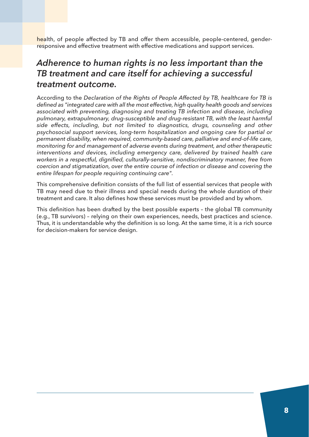health, of people affected by TB and offer them accessible, people-centered, genderresponsive and effective treatment with effective medications and support services.

### *Adherence to human rights is no less important than the TB treatment and care itself for achieving a successful treatment outcome.*

According to the *Declaration of the Rights of People Affected by TB, healthcare for TB is defined as "integrated care with all the most effective, high quality health goods and services associated with preventing, diagnosing and treating TB infection and disease, including pulmonary, extrapulmonary, drug-susceptible and drug-resistant TB, with the least harmful side effects, including, but not limited to diagnostics, drugs, counseling and other psychosocial support services, long-term hospitalization and ongoing care for partial or permanent disability, when required, community-based care, palliative and end-of-life care, monitoring for and management of adverse events during treatment, and other therapeutic interventions and devices, including emergency care, delivered by trained health care workers in a respectful, dignified, culturally-sensitive, nondiscriminatory manner, free from coercion and stigmatization, over the entire course of infection or disease and covering the entire lifespan for people requiring continuing care".*

This comprehensive definition consists of the full list of essential services that people with TB may need due to their illness and special needs during the whole duration of their treatment and care. It also defines how these services must be provided and by whom.

This definition has been drafted by the best possible experts – the global TB community (e.g., TB survivors) – relying on their own experiences, needs, best practices and science. Thus, it is understandable why the definition is so long. At the same time, it is a rich source for decision-makers for service design.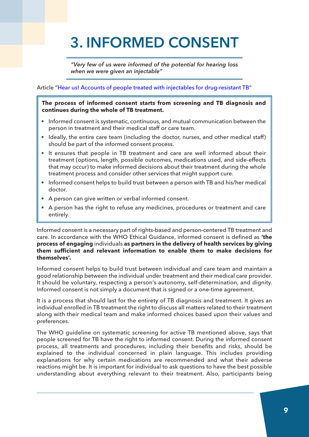# 3. INfORmEd cONsENT

*"Very few of us were informed of the potential for hearing loss when we were given an injectable"*

Article "Hear us! Accounts of people treated with injectables for [drug-resistant](https://www.ingentaconnect.com/content/iuatld/pha/2021/00000011/00000003/art00008;jsessionid=32hn6cmcnc7cq.x-ic-live-03) TB"

#### **The process of informed consent starts from screening and TB diagnosis and continues during the whole of TB treatment.**

- Informed consent is systematic, continuous, and mutual communication between the person in treatment and their medical staff or care team.
- Ideally, the entire care team (including the doctor, nurses, and other medical staff) should be part of the informed consent process.
- It ensures that people in TB treatment and care are well informed about their treatment (options, length, possible outcomes, medications used, and side-effects that may occur) to make informed decisions about their treatment during the whole treatment process and consider other services that might support cure.
- Informed consent helps to build trust between a person with TB and his/her medical doctor.
- A person can give written or verbal informed consent.
- A person has the right to refuse any medicines, procedures or treatment and care entirely.

Informed consent is a necessary part of rights-based and person-centered TB treatment and care. In accordance with the WHO Ethical Guidance, informed consent is defined as **'the process of engaging** individuals **as partners in the delivery of health services by giving them sufficient and relevant information to enable them to make decisions for themselves'.**

Informed consent helps to build trust between individual and care team and maintain a good relationship between the individual under treatment and their medical care provider. It should be voluntary, respecting a person's autonomy, self-determination, and dignity. Informed consent is not simply a document that is signed or a one-time agreement.

It is a process that should last for the entirety of TB diagnosis and treatment. It gives an individual enrolled in TB treatment the right to discuss all matters related to their treatment along with their medical team and make informed choices based upon their values and preferences.

The WHO guideline on systematic screening for active TB mentioned above, says that people screened for TB have the right to informed consent. During the informed consent process, all treatments and procedures, including their benefits and risks, should be explained to the individual concerned in plain language. This includes providing explanations for why certain medications are recommended and what their adverse reactions might be. It is important for individual to ask questions to have the best possible understanding about everything relevant to their treatment. Also, participants being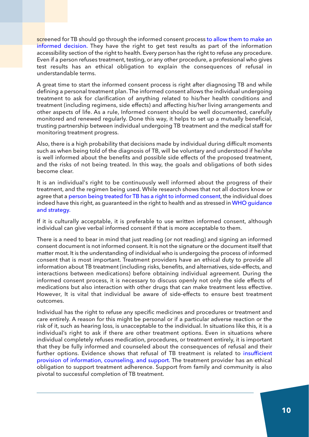screened for TB should go through the informed consent process to allow them to [make](https://erj.ersjournals.com/content/39/5/1057) an [informed](https://erj.ersjournals.com/content/39/5/1057) decision. They have the right to get test results as part of the information accessibility section of the right to health. Every person has the right to refuse any procedure. Even if a person refuses treatment, testing, or any other procedure, a professional who gives test results has an ethical obligation to explain the consequences of refusal in understandable terms.

A great time to start the informed consent process is right after diagnosing TB and while defining a personal treatment plan. The informed consent allows the individual undergoing treatment to ask for clarification of anything related to his/her health conditions and treatment (including regimens, side effects) and affecting his/her living arrangements and other aspects of life. As a rule, Informed consent should be well documented, carefully monitored and renewed regularly. Done this way, it helps to set up a mutually beneficial, trusting partnership between individual undergoing TB treatment and the medical staff for monitoring treatment progress.

Also, there is a high probability that decisions made by individual during difficult moments such as when being told of the diagnosis of TB, will be voluntary and understood if he/she is well informed about the benefits and possible side effects of the proposed treatment, and the risks of not being treated. In this way, the goals and obligations of both sides become clear.

It is an individual's right to be continuously well informed about the progress of their treatment, and the regimen being used. While research shows that not all doctors know or agree that a person being treated for TB has a right to [informed](https://www.ncbi.nlm.nih.gov/pmc/articles/PMC5783064/) consent, the individual does indeed have this right, as guaranteed in the right to health and as stressed in WHO [guidance](https://reliefweb.int/report/world/global-tuberculosis-report-2020) and [strategy.](https://reliefweb.int/report/world/global-tuberculosis-report-2020)

If it is culturally acceptable, it is preferable to use written informed consent, although individual can give verbal informed consent if that is more acceptable to them.

There is a need to bear in mind that just reading (or not reading) and signing an informed consent document is not informed consent. It is not the signature or the document itself that matter most. It is the understanding of individual who is undergoing the process of informed consent that is most important. Treatment providers have an ethical duty to provide all information about TB treatment (including risks, benefits, and alternatives, side-effects, and interactions between medications) before obtaining individual agreement. During the informed consent process, it is necessary to discuss openly not only the side effects of medications but also interaction with other drugs that can make treatment less effective. However, It is vital that individual be aware of side-effects to ensure best treatment outcomes.

Individual has the right to refuse any specific medicines and procedures or treatment and care entirely. A reason for this might be personal or if a particular adverse reaction or the risk of it, such as hearing loss, is unacceptable to the individual. In situations like this, it is a individual's right to ask if there are other treatment options. Even in situations where individual completely refuses medication, procedures, or treatment entirely, it is important that they be fully informed and counseled about the consequences of refusal and their further options. Evidence shows that refusal of TB treatment is related to [insufficient](https://apps.who.int/iris/bitstream/handle/10665/130918/9789241548809_eng.pdf?sequence=1) provision of [information,](https://apps.who.int/iris/bitstream/handle/10665/130918/9789241548809_eng.pdf?sequence=1) counseling, and support. The treatment provider has an ethical obligation to support treatment adherence. Support from family and community is also pivotal to successful completion of TB treatment.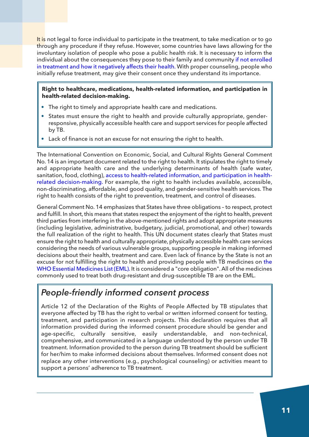It is not legal to force individual to participate in the treatment, to take medication or to go through any procedure if they refuse. However, some countries have laws allowing for the involuntary isolation of people who pose a public health risk. It is necessary to inform the individual about the consequences they pose to their family and community if not [enrolled](https://apps.who.int/iris/bitstream/handle/10665/254820/9789241512114-eng.pdf?sequence=1) in treatment and how it [negatively](https://apps.who.int/iris/bitstream/handle/10665/254820/9789241512114-eng.pdf?sequence=1) affects their health. With proper counseling, people who initially refuse treatment, may give their consent once they understand its importance.

#### **Right to healthcare, medications, health-related information, and participation in health-related decision-making.**

- The right to timely and appropriate health care and medications.
- States must ensure the right to health and provide culturally appropriate, genderresponsive, physically accessible health care and support services for people affected by TB.
- Lack of finance is not an excuse for not ensuring the right to health.

The International Convention on Economic, Social, and Cultural Rights General Comment No. 14 is an important document related to the right to health. It stipulates the right to timely and appropriate health care and the underlying determinants of health (safe water, sanitation, food, clothing), access to [health-related](http://docstore.ohchr.org/SelfServices/FilesHandler.ashx?enc=4slQ6QSmlBEDzFEovLCuW1AVC1NkPsgUedPlF1vfPMJ2c7ey6PAz2qaojTzDJmC0y%2B9t%2BsAtGDNzdEqA6SuP2r0w%2F6sVBGTpvTSCbiOr4XVFTqhQY65auTFbQRPWNDxL) information, and participation in healthrelated [decision-making.](http://docstore.ohchr.org/SelfServices/FilesHandler.ashx?enc=4slQ6QSmlBEDzFEovLCuW1AVC1NkPsgUedPlF1vfPMJ2c7ey6PAz2qaojTzDJmC0y%2B9t%2BsAtGDNzdEqA6SuP2r0w%2F6sVBGTpvTSCbiOr4XVFTqhQY65auTFbQRPWNDxL) For example, the right to health includes available, accessible, non-discriminating, affordable, and good quality, and gender-sensitive health services. The right to health consists of the right to prevention, treatment, and control of diseases.

General Comment No. 14 emphasizes that States have three obligations – to respect, protect and fulfill. In short, this means that states respect the enjoyment of the right to health, prevent third parties from interfering in the above-mentioned rights and adopt appropriate measures (including legislative, administrative, budgetary, judicial, promotional, and other) towards the full realization of the right to health. This UN document states clearly that States must ensure the right to health and culturally appropriate, physically accessible health care services considering the needs of various vulnerable groups, supporting people in making informed decisions about their health, treatment and care. Even lack of finance by the State is not an excuse for not fulfilling the right to health and providing people with TB medicines on [the](https://apps.who.int/iris/bitstream/handle/10665/325771/WHO-MVP-EMP-IAU-2019.06-eng.pdf) WHO Essential [Medicines](https://apps.who.int/iris/bitstream/handle/10665/325771/WHO-MVP-EMP-IAU-2019.06-eng.pdf) List [\(EML\).](https://apps.who.int/iris/bitstream/handle/10665/325771/WHO-MVP-EMP-IAU-2019.06-eng.pdf) It is considered a "core obligation". All of the medicines commonly used to treat both drug-resistant and drug-susceptible TB are on the EML.

### *People-friendly informed consent process*

Article 12 of the Declaration of the Rights of People Affected by TB stipulates that everyone affected by TB has the right to verbal or written informed consent for testing, treatment, and participation in research projects. This declaration requires that all information provided during the informed consent procedure should be gender and age-specific, culturally sensitive, easily understandable, and non-technical, comprehensive, and communicated in a language understood by the person under TB treatment. Information provided to the person during TB treatment should be sufficient for her/him to make informed decisions about themselves. Informed consent does not replace any other interventions (e.g., psychological counseling) or activities meant to support a persons' adherence to TB treatment.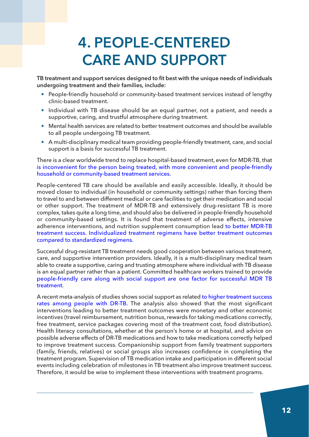## 4. pEOplE-cENTEREd cARE ANd suppORT

TB treatment and support services designed to fit best with the unique needs of individuals undergoing treatment and their families, include:

- People-friendly household or community-based treatment services instead of lengthy clinic-based treatment.
- Individual with TB disease should be an equal partner, not a patient, and needs a supportive, caring, and trustful atmosphere during treatment.
- Mental health services are related to better treatment outcomes and should be available to all people undergoing TB treatment.
- A multi-disciplinary medical team providing people-friendly treatment, care, and social support is a basis for successful TB treatment.

There is a clear worldwide trend to replace hospital-based treatment, even for MDR-TB, that is inconvenient for the person being treated, with more convenient and [people-friendly](https://www.ncbi.nlm.nih.gov/pmc/articles/PMC3741248/) household or [community-based](https://www.ncbi.nlm.nih.gov/pmc/articles/PMC3741248/) treatment services.

People-centered TB care should be available and easily accessible. Ideally, it should be moved closer to individual (in household or community settings) rather than forcing them to travel to and between different medical or care facilities to get their medication and social or other support. The treatment of MDR-TB and extensively drug-resistant TB is more complex, takes quite a long time, and should also be delivered in people-friendly household or community-based settings. It is found that treatment of adverse effects, intensive adherence interventions, and nutrition supplement consumption lead to better [MDR-TB](https://pubmed.ncbi.nlm.nih.gov/28093078/) treatment success. [Individualized](https://pubmed.ncbi.nlm.nih.gov/28093078/) treatment regimens have better treatment outcomes compared to [standardized](https://pubmed.ncbi.nlm.nih.gov/28093078/) regimens.

Successful drug-resistant TB treatment needs good cooperation between various treatment, care, and supportive intervention providers. Ideally, it is a multi-disciplinary medical team able to create a supportive, caring and trusting atmosphere where individual with TB disease is an equal partner rather than a patient. Committed healthcare workers trained to provide [people-friendly](https://www.ecdc.europa.eu/sites/default/files/media/en/publications/Publications/mdr-tb-healthcare-factors-influencing-treatment-results.pdf) care along with social support are one factor for successful MDR TB [treatment.](https://www.ecdc.europa.eu/sites/default/files/media/en/publications/Publications/mdr-tb-healthcare-factors-influencing-treatment-results.pdf)

A recent meta-analysis of studies shows social support as related to higher [treatment](https://bmjopen.bmj.com/content/bmjopen/10/10/e036985.full.pdf) success rates among [people](https://bmjopen.bmj.com/content/bmjopen/10/10/e036985.full.pdf) with DR-TB. The analysis also showed that the most significant interventions leading to better treatment outcomes were monetary and other economic incentives (travel reimbursement, nutrition bonus, rewards for taking medications correctly, free treatment, service packages covering most of the treatment cost, food distribution). Health literacy consultations, whether at the person's home or at hospital, and advice on possible adverse effects of DR-TB medications and how to take medications correctly helped to improve treatment success. Companionship support from family treatment supporters (family, friends, relatives) or social groups also increases confidence in completing the treatment program. Supervision of TB medication intake and participation in different social events including celebration of milestones in TB treatment also improve treatment success. Therefore, it would be wise to implement these interventions with treatment programs.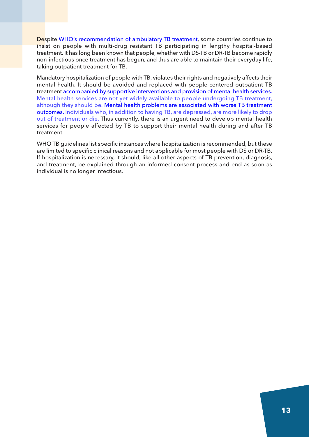Despite WHO's [recommendation](https://www.euro.who.int/__data/assets/pdf_file/0004/388039/ambulatory-care-eng.pdf) of ambulatory TB treatment, some countries continue to insist on people with multi-drug resistant TB participating in lengthy hospital-based treatment. It has long been known that people, whether with DS-TB or DR-TB become rapidly non-infectious once treatment has begun, and thus are able to maintain their everyday life, taking outpatient treatment for TB.

Mandatory hospitalization of people with TB, violates their rights and negatively affects their mental health. It should be avoided and replaced with people-centered outpatient TB treatment [accompanied](https://smitmd.wordpress.com/2019/01/31/impact-of-long-term-hospitalization-on-people-with-tuberculosis/) by supportive interventions and provision of mental health services. Mental health services are not yet widely available to people [undergoing](https://smitmd.wordpress.com/2019/01/31/impact-of-long-term-hospitalization-on-people-with-tuberculosis/) TB treatment, [although](https://smitmd.wordpress.com/2019/01/31/impact-of-long-term-hospitalization-on-people-with-tuberculosis/) they should be. Mental health problems are [associated](https://www.ncbi.nlm.nih.gov/pmc/articles/PMC7654862/) with worse TB treatment [outcomes.](https://www.ncbi.nlm.nih.gov/pmc/articles/PMC7654862/) Individuals who, in addition to having TB, are [depressed,](https://journals.plos.org/plosone/article?id=10.1371/journal.pone.0227472) are more likely to drop out of [treatment](https://journals.plos.org/plosone/article?id=10.1371/journal.pone.0227472) or die. Thus currently, there is an urgent need to develop mental health services for people affected by TB to support their mental health during and after TB treatment.

WHO TB guidelines list specific instances where hospitalization is recommended, but these are limited to specific clinical reasons and not applicable for most people with DS or DR-TB. If hospitalization is necessary, it should, like all other aspects of TB prevention, diagnosis, and treatment, be explained through an informed consent process and end as soon as individual is no longer infectious.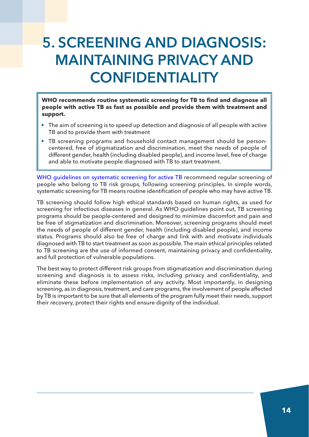## 5. scREENINg ANd dIAgNOsIs: mAINTAININg pRIVAcy ANd **CONFIDENTIALITY**

**WHO recommends routine systematic screening for TB to find and diagnose all people with active TB as fast as possible and provide them with treatment and support.**

- The aim of screening is to speed up detection and diagnosis of all people with active TB and to provide them with treatment
- TB screening programs and household contact management should be personcentered, free of stigmatization and discrimination, meet the needs of people of different gender, health (including disabled people), and income level, free of charge and able to motivate people diagnosed with TB to start treatment.

WHO [guidelines](https://apps.who.int/iris/bitstream/handle/10665/84971/9789241548601_eng.pdf?sequence=1) on systematic screening for active TB recommend regular screening of people who belong to TB risk groups, following screening principles. In simple words, systematic screening for TB means routine identification of people who may have active TB.

TB screening should follow high ethical standards based on human rights, as used for screening for infectious diseases in general. As WHO guidelines point out, TB screening programs should be people-centered and designed to minimize discomfort and pain and be free of stigmatization and discrimination. Moreover, screening programs should meet the needs of people of different gender, health (including disabled people), and income status. Programs should also be free of charge and link with and motivate individuals diagnosed with TB to start treatment as soon as possible. The main ethical principles related to TB screening are the use of informed consent, maintaining privacy and confidentiality, and full protection of vulnerable populations.

The best way to protect different risk groups from stigmatization and discrimination during screening and diagnosis is to assess risks, including privacy and confidentiality, and eliminate these before implementation of any activity. Most importantly, in designing screening, as in diagnosis, treatment, and care programs, the involvement of people affected by TB is important to be sure that all elements of the program fully meet their needs, support their recovery, protect their rights end ensure dignity of the individual.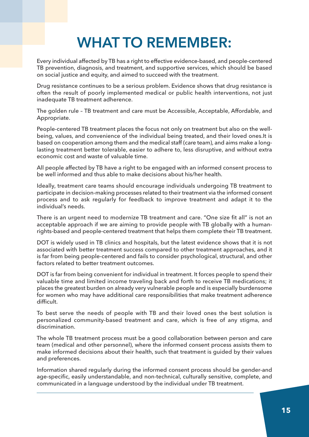## WHAT TO REMEMBER:

Every individual affected by TB has a right to effective evidence-based, and people-centered TB prevention, diagnosis, and treatment, and supportive services, which should be based on social justice and equity, and aimed to succeed with the treatment.

Drug resistance continues to be a serious problem. Evidence shows that drug resistance is often the result of poorly implemented medical or public health interventions, not just inadequate TB treatment adherence.

The golden rule – TB treatment and care must be Accessible, Acceptable, Affordable, and Appropriate.

People-centered TB treatment places the focus not only on treatment but also on the wellbeing, values, and convenience of the individual being treated, and their loved ones.It is based on cooperation among them and the medical staff (care team), and aims make a longlasting treatment better tolerable, easier to adhere to, less disruptive, and without extra economic cost and waste of valuable time.

All people affected by TB have a right to be engaged with an informed consent process to be well informed and thus able to make decisions about his/her health.

Ideally, treatment care teams should encourage individuals undergoing TB treatment to participate in decision-making processes related to their treatment via the informed consent process and to ask regularly for feedback to improve treatment and adapt it to the individual's needs.

There is an urgent need to modernize TB treatment and care. "One size fit all" is not an acceptable approach if we are aiming to provide people with TB globally with a humanrights-based and people-centered treatment that helps them complete their TB treatment.

DOT is widely used in TB clinics and hospitals, but the latest evidence shows that it is not associated with better treatment success compared to other treatment approaches, and it is far from being people-centered and fails to consider psychological, structural, and other factors related to better treatment outcomes.

DOT is far from being convenient for individual in treatment. It forces people to spend their valuable time and limited income traveling back and forth to receive TB medications; it places the greatest burden on already very vulnerable people and is especially burdensome for women who may have additional care responsibilities that make treatment adherence difficult.

To best serve the needs of people with TB and their loved ones the best solution is personalized community-based treatment and care, which is free of any stigma, and discrimination.

The whole TB treatment process must be a good collaboration between person and care team (medical and other personnel), where the informed consent process assists them to make informed decisions about their health, such that treatment is guided by their values and preferences.

Information shared regularly during the informed consent process should be gender-and age-specific, easily understandable, and non-technical, culturally sensitive, complete, and communicated in a language understood by the individual under TB treatment.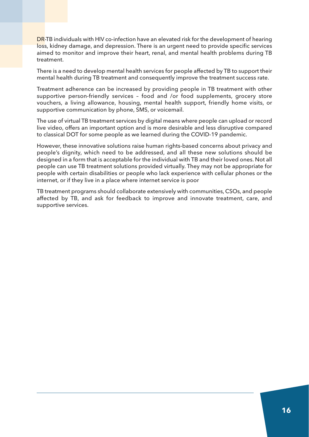DR-TB individuals with HIV co-infection have an elevated risk for the development of hearing loss, kidney damage, and depression. There is an urgent need to provide specific services aimed to monitor and improve their heart, renal, and mental health problems during TB treatment.

There is a need to develop mental health services for people affected by TB to support their mental health during TB treatment and consequently improve the treatment success rate.

Treatment adherence can be increased by providing people in TB treatment with other supportive person-friendly services – food and /or food supplements, grocery store vouchers, a living allowance, housing, mental health support, friendly home visits, or supportive communication by phone, SMS, or voicemail.

The use of virtual TB treatment services by digital means where people can upload or record live video, offers an important option and is more desirable and less disruptive compared to classical DOT for some people as we learned during the COVID-19 pandemic.

However, these innovative solutions raise human rights-based concerns about privacy and people's dignity, which need to be addressed, and all these new solutions should be designed in a form that is acceptable for the individual with TB and their loved ones. Not all people can use TB treatment solutions provided virtually. They may not be appropriate for people with certain disabilities or people who lack experience with cellular phones or the internet, or if they live in a place where internet service is poor

TB treatment programs should collaborate extensively with communities, CSOs, and people affected by TB, and ask for feedback to improve and innovate treatment, care, and supportive services.